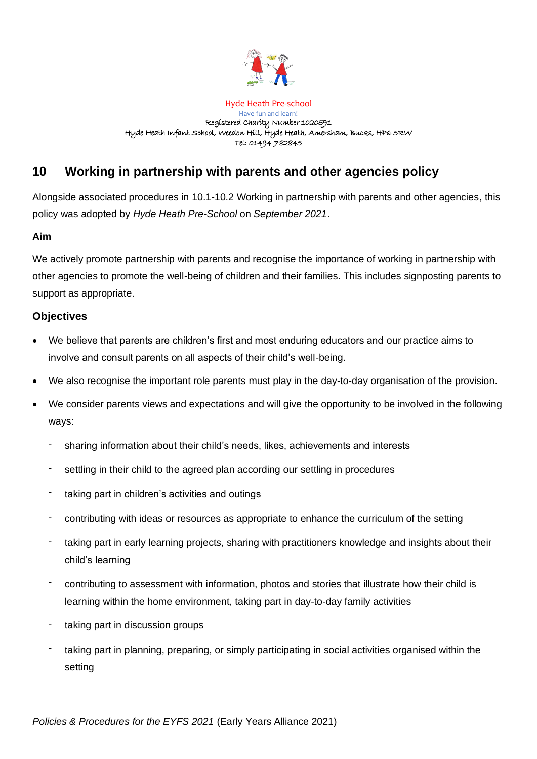

#### Hyde Heath Pre-school Have fun and learn! Registered Charity Number 1020591 Hyde Heath Infant School, Weedon Hill, Hyde Heath, Amersham, Bucks, HP6 5RW Tel: 01494 782845

# **10 Working in partnership with parents and other agencies policy**

Alongside associated procedures in 10.1-10.2 Working in partnership with parents and other agencies, this policy was adopted by *Hyde Heath Pre-School* on *September 2021*.

## **Aim**

We actively promote partnership with parents and recognise the importance of working in partnership with other agencies to promote the well-being of children and their families. This includes signposting parents to support as appropriate.

## **Objectives**

- We believe that parents are children's first and most enduring educators and our practice aims to involve and consult parents on all aspects of their child's well-being.
- We also recognise the important role parents must play in the day-to-day organisation of the provision.
- We consider parents views and expectations and will give the opportunity to be involved in the following ways:
	- sharing information about their child's needs, likes, achievements and interests
	- settling in their child to the agreed plan according our settling in procedures
	- taking part in children's activities and outings
	- contributing with ideas or resources as appropriate to enhance the curriculum of the setting
	- taking part in early learning projects, sharing with practitioners knowledge and insights about their child's learning
	- contributing to assessment with information, photos and stories that illustrate how their child is learning within the home environment, taking part in day-to-day family activities
	- taking part in discussion groups
	- taking part in planning, preparing, or simply participating in social activities organised within the setting